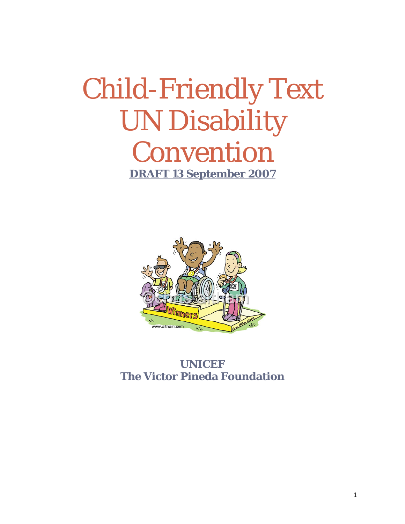## Child-Friendly Text UN Disability Convention **DRAFT 13 September 2007**



#### **UNICEF The Victor Pineda Foundation**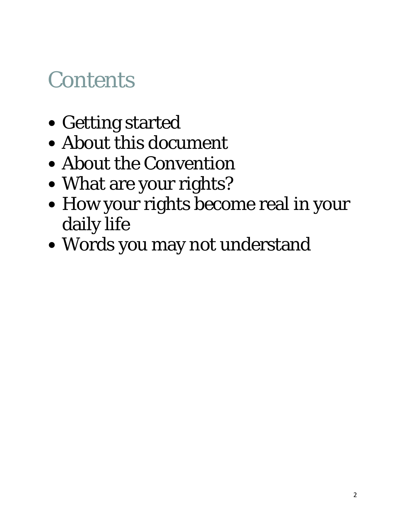## **Contents**

- Getting started
- About this document
- About the Convention
- What are your rights?
- How your rights become real in your daily life
- Words you may not understand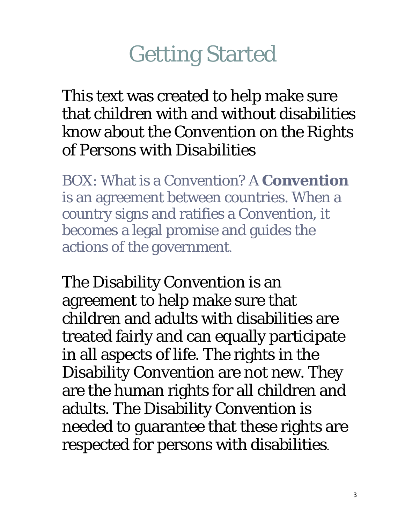## Getting Started

This text was created to help make sure that children with and without disabilities know about the *Convention on the Rights of Persons with Disabilities*

BOX: What is a Convention? A **Convention** is an agreement between countries. When a country signs and ratifies a Convention, it becomes a legal promise and guides the actions of the government.

The Disability Convention is an agreement to help make sure that children and adults with disabilities are treated fairly and can equally participate in all aspects of life. The rights in the Disability Convention are not new. They are the human rights for all children and adults. The Disability Convention is needed to guarantee that these rights are respected for persons with disabilities.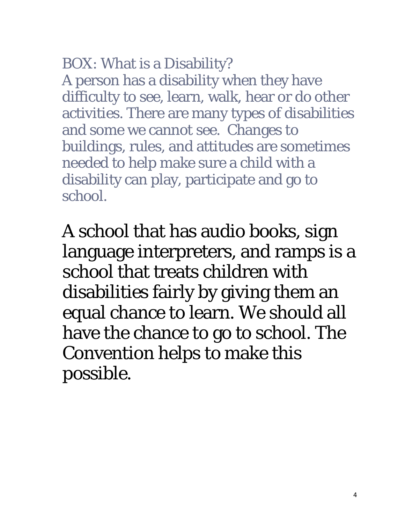#### BOX: What is a Disability?

A person has a disability when they have difficulty to see, learn, walk, hear or do other activities. There are many types of disabilities and some we cannot see. Changes to buildings, rules, and attitudes are sometimes needed to help make sure a child with a disability can play, participate and go to school.

A school that has audio books, sign language interpreters, and ramps is a school that treats children with disabilities fairly by giving them an equal chance to learn. We should all have the chance to go to school. The Convention helps to make this possible.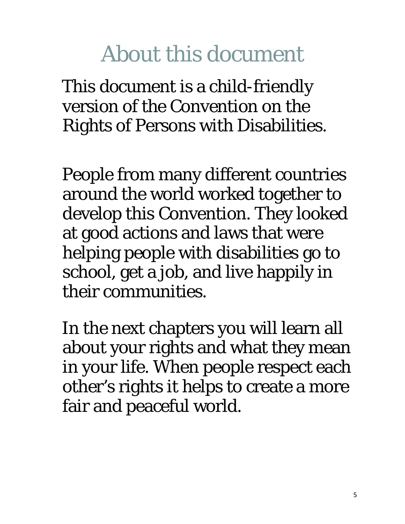## About this document

This document is a child-friendly version of the Convention on the Rights of Persons with Disabilities.

People from many different countries around the world worked together to develop this Convention. They looked at good actions and laws that were helping people with disabilities go to school, get a job, and live happily in their communities.

In the next chapters you will learn all about your rights and what they mean in your life. When people respect each other's rights it helps to create a more fair and peaceful world.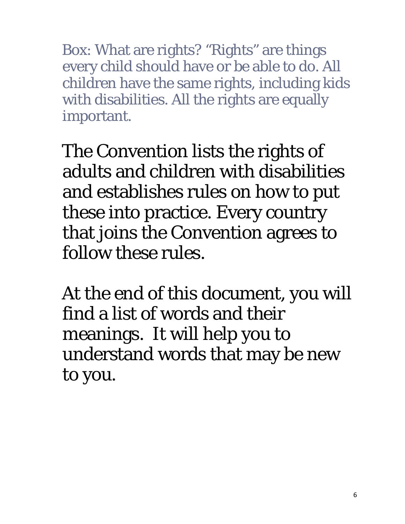Box: What are rights? "Rights" are things every child should have or be able to do. All children have the same rights, including kids with disabilities. All the rights are equally important.

The Convention lists the rights of adults and children with disabilities and establishes rules on how to put these into practice. Every country that joins the Convention agrees to follow these rules.

At the end of this document, you will find a list of words and their meanings. It will help you to understand words that may be new to you.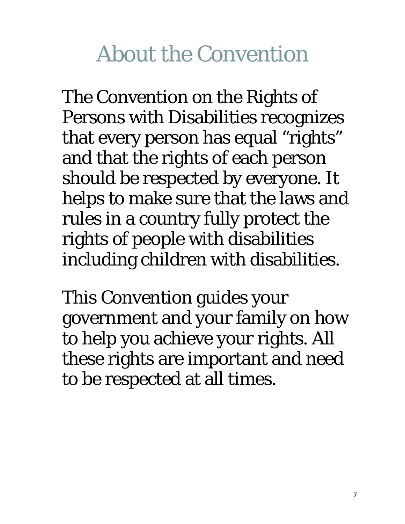## About the Convention

The Convention on the Rights of Persons with Disabilities recognizes that every person has equal "rights" and that the rights of each person should be respected by everyone. It helps to make sure that the laws and rules in a country fully protect the rights of people with disabilities including children with disabilities.

This Convention guides your government and your family on how to help you achieve your rights. All these rights are important and need to be respected at all times.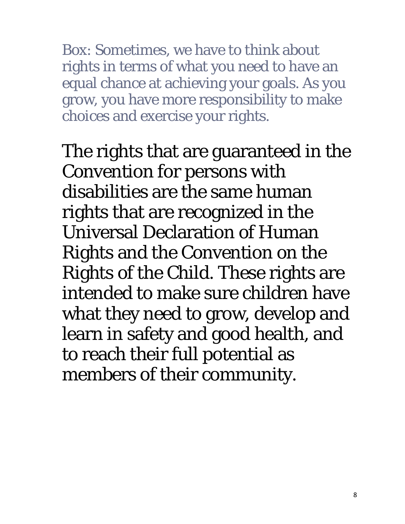Box: Sometimes, we have to think about rights in terms of what you need to have an equal chance at achieving your goals. As you grow, you have more responsibility to make choices and exercise your rights.

The rights that are guaranteed in the Convention for persons with disabilities are the same human rights that are recognized in the Universal Declaration of Human Rights and the Convention on the Rights of the Child. These rights are intended to make sure children have what they need to grow, develop and learn in safety and good health, and to reach their full potential as members of their community.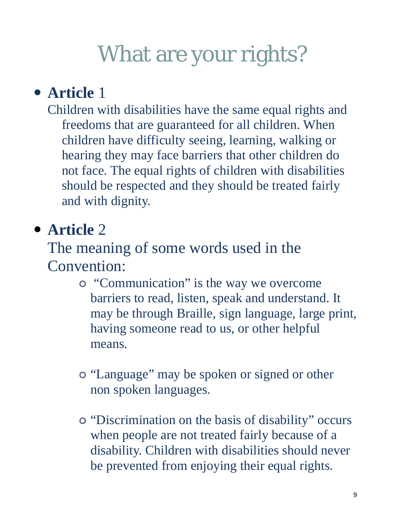### **• Article** 1

Children with disabilities have the same equal rights and freedoms that are guaranteed for all children. When children have difficulty seeing, learning, walking or hearing they may face barriers that other children do not face. The equal rights of children with disabilities should be respected and they should be treated fairly and with dignity.

### y **Article** 2

The meaning of some words used in the Convention:

- <sup>|</sup> "Communication" is the way we overcome barriers to read, listen, speak and understand. It may be through Braille, sign language, large print, having someone read to us, or other helpful means.
- <sup>|</sup> "Language" may be spoken or signed or other non spoken languages.
- <sup>|</sup> "Discrimination on the basis of disability" occurs when people are not treated fairly because of a disability. Children with disabilities should never be prevented from enjoying their equal rights.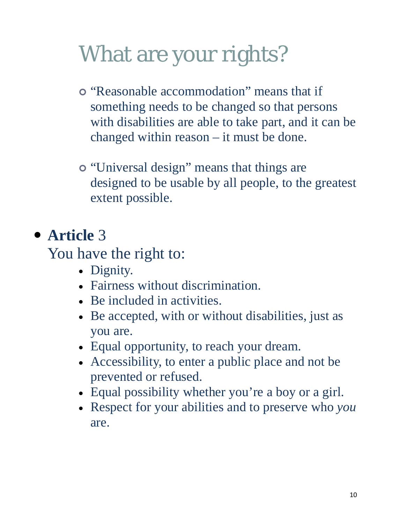- <sup>|</sup> "Reasonable accommodation" means that if something needs to be changed so that persons with disabilities are able to take part, and it can be changed within reason – it must be done.
- <sup>|</sup> "Universal design" means that things are designed to be usable by all people, to the greatest extent possible.

#### **• Article** 3

You have the right to:

- Dignity.
- Fairness without discrimination.
- Be included in activities.
- Be accepted, with or without disabilities, just as you are.
- Equal opportunity, to reach your dream.
- Accessibility, to enter a public place and not be prevented or refused.
- Equal possibility whether you're a boy or a girl.
- Respect for your abilities and to preserve who *you* are.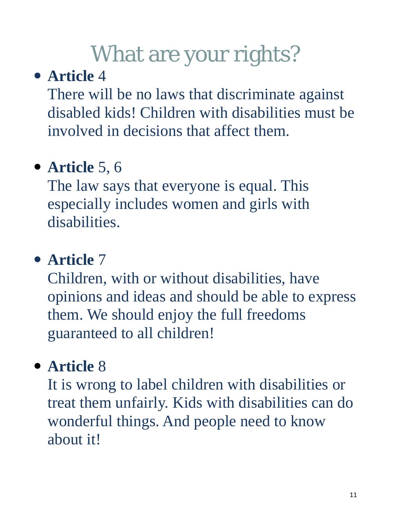### **• Article** 4

There will be no laws that discriminate against disabled kids! Children with disabilities must be involved in decisions that affect them.

### • **Article** 5, 6

The law says that everyone is equal. This especially includes women and girls with disabilities.

#### **• Article** 7

Children, with or without disabilities, have opinions and ideas and should be able to express them. We should enjoy the full freedoms guaranteed to all children!

### **• Article** 8

It is wrong to label children with disabilities or treat them unfairly. Kids with disabilities can do wonderful things. And people need to know about it!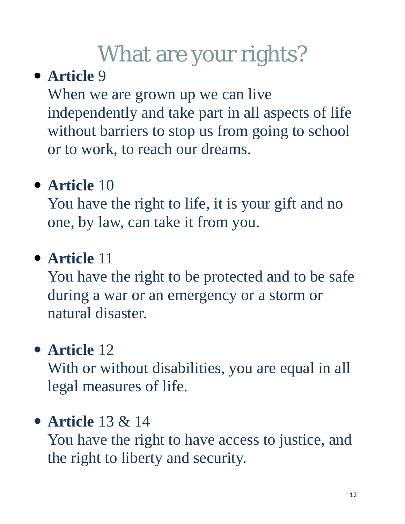### **• Article** 9

When we are grown up we can live independently and take part in all aspects of life without barriers to stop us from going to school or to work, to reach our dreams.

## **• Article** 10

You have the right to life, it is your gift and no one, by law, can take it from you.

### **• Article** 11

You have the right to be protected and to be safe during a war or an emergency or a storm or natural disaster.

### • **Article** 12

With or without disabilities, you are equal in all legal measures of life.

#### y **Article** 13 & 14

You have the right to have access to justice, and the right to liberty and security.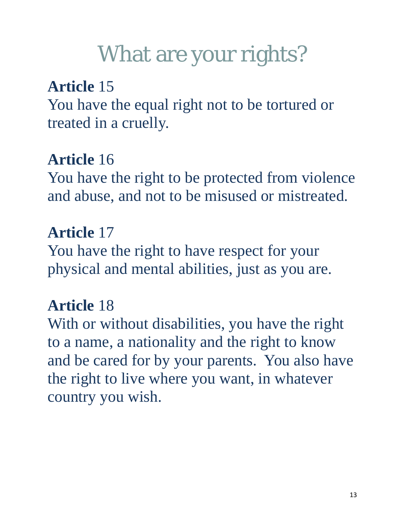### **Article** 15

You have the equal right not to be tortured or treated in a cruelly.

### **Article** 16

You have the right to be protected from violence and abuse, and not to be misused or mistreated.

#### **Article** 17

You have the right to have respect for your physical and mental abilities, just as you are.

#### **Article** 18

With or without disabilities, you have the right to a name, a nationality and the right to know and be cared for by your parents. You also have the right to live where you want, in whatever country you wish.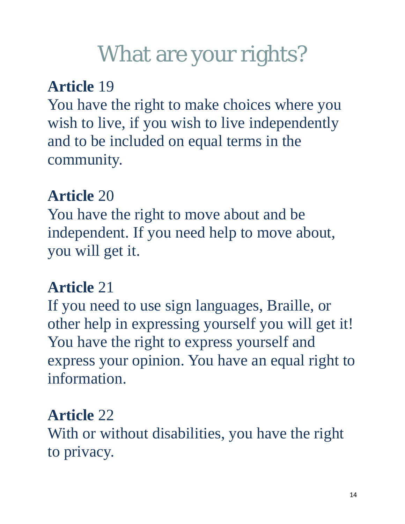### **Article** 19

You have the right to make choices where you wish to live, if you wish to live independently and to be included on equal terms in the community.

### **Article** 20

You have the right to move about and be independent. If you need help to move about, you will get it.

#### **Article** 21

If you need to use sign languages, Braille, or other help in expressing yourself you will get it! You have the right to express yourself and express your opinion. You have an equal right to information.

#### **Article** 22

With or without disabilities, you have the right to privacy.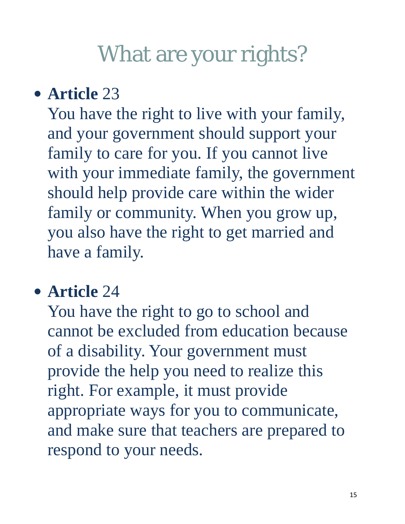### • **Article 23**

You have the right to live with your family, and your government should support your family to care for you. If you cannot live with your immediate family, the government should help provide care within the wider family or community. When you grow up, you also have the right to get married and have a family.

#### • **Article 24**

You have the right to go to school and cannot be excluded from education because of a disability. Your government must provide the help you need to realize this right. For example, it must provide appropriate ways for you to communicate, and make sure that teachers are prepared to respond to your needs.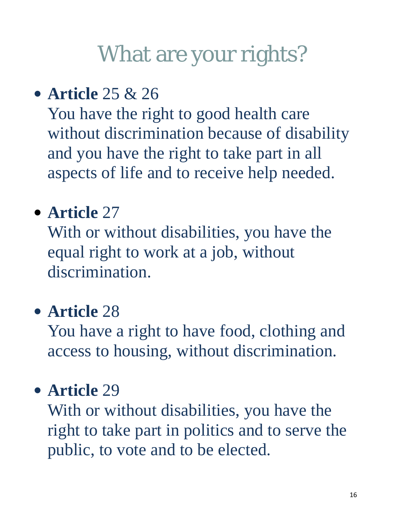## y **Article** 25 & 26

You have the right to good health care without discrimination because of disability and you have the right to take part in all aspects of life and to receive help needed.

## • **Article** 27

With or without disabilities, you have the equal right to work at a job, without discrimination.

### **• Article** 28

You have a right to have food, clothing and access to housing, without discrimination.

#### **• Article** 29

With or without disabilities, you have the right to take part in politics and to serve the public, to vote and to be elected.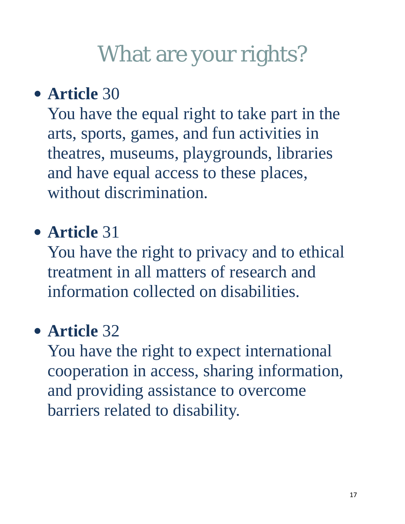## • **Article 30**

You have the equal right to take part in the arts, sports, games, and fun activities in theatres, museums, playgrounds, libraries and have equal access to these places, without discrimination.

### y **Article** 31

You have the right to privacy and to ethical treatment in all matters of research and information collected on disabilities.

### • **Article** 32

You have the right to expect international cooperation in access, sharing information, and providing assistance to overcome barriers related to disability.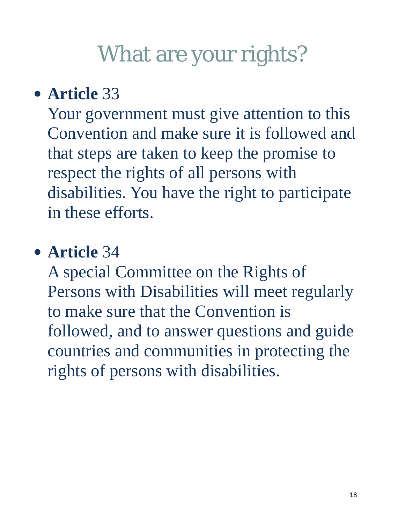## **• Article** 33

Your government must give attention to this Convention and make sure it is followed and that steps are taken to keep the promise to respect the rights of all persons with disabilities. You have the right to participate in these efforts.

### • **Article** 34

A special Committee on the Rights of Persons with Disabilities will meet regularly to make sure that the Convention is followed, and to answer questions and guide countries and communities in protecting the rights of persons with disabilities.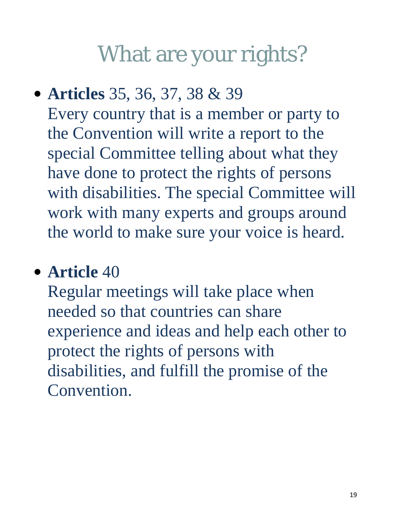y **Articles** 35, 36, 37, 38 & 39 Every country that is a member or party to the Convention will write a report to the special Committee telling about what they have done to protect the rights of persons with disabilities. The special Committee will work with many experts and groups around the world to make sure your voice is heard.

## • **Article** 40

Regular meetings will take place when needed so that countries can share experience and ideas and help each other to protect the rights of persons with disabilities, and fulfill the promise of the Convention.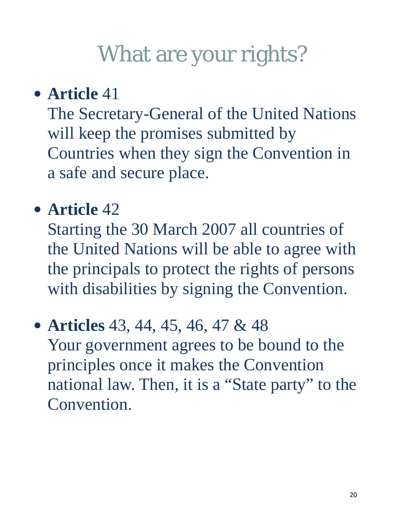### **• Article** 41

The Secretary-General of the United Nations will keep the promises submitted by Countries when they sign the Convention in a safe and secure place.

## • **Article** 42

Starting the 30 March 2007 all countries of the United Nations will be able to agree with the principals to protect the rights of persons with disabilities by signing the Convention.

#### • **Articles** 43, 44, 45, 46, 47 & 48

Your government agrees to be bound to the principles once it makes the Convention national law. Then, it is a "State party" to the Convention.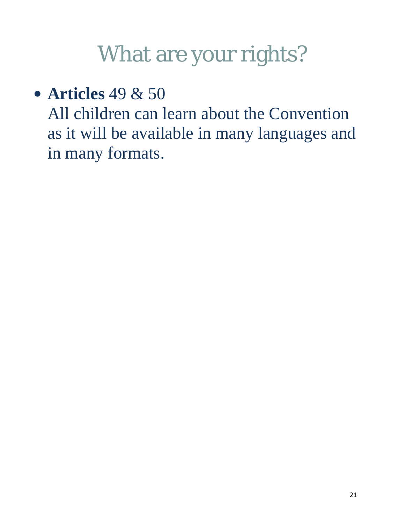• **Articles** 49 & 50

All children can learn about the Convention as it will be available in many languages and in many formats.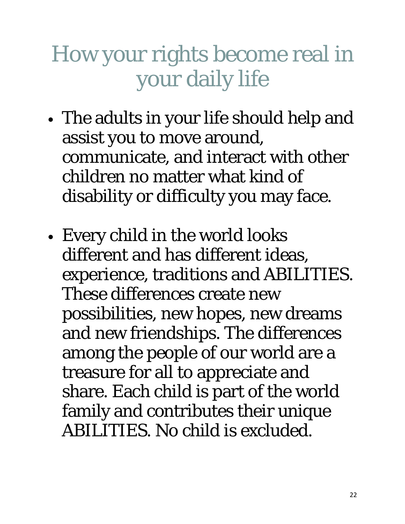## How your rights become real in your daily life

- The adults in your life should help and assist you to move around, communicate, and interact with other children no matter what kind of disability or difficulty you may face.
- Every child in the world looks different and has different ideas, experience, traditions and ABILITIES. These differences create new possibilities, new hopes, new dreams and new friendships. The differences among the people of our world are a treasure for all to appreciate and share. Each child is part of the world family and contributes their unique ABILITIES. No child is excluded.